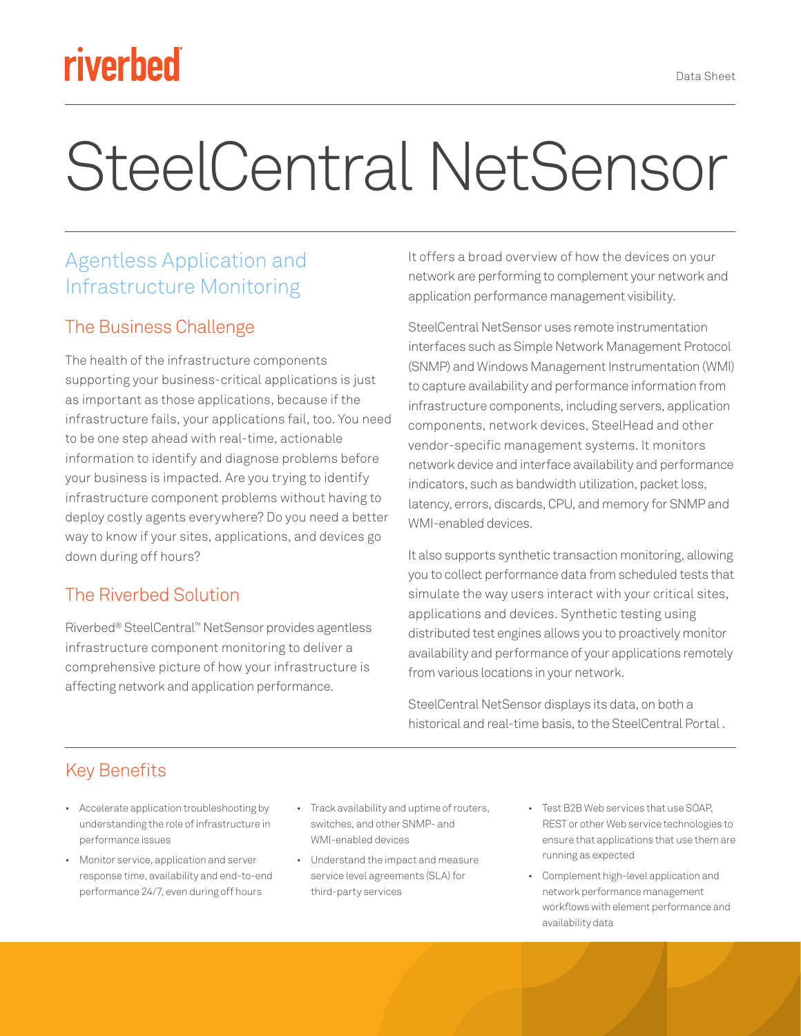# riverbed

# SteelCentral NetSensor

## Agentless Application and Infrastructure Monitoring

#### The Business Challenge

The health of the infrastructure components supporting your business-critical applications is just as important as those applications, because if the infrastructure fails, your applications fail, too. You need to be one step ahead with real-time, actionable information to identify and diagnose problems before your business is impacted. Are you trying to identify infrastructure component problems without having to deploy costly agents everywhere? Do you need a better way to know if your sites, applications, and devices go down during off hours?

### The Riverbed Solution

Riverbed® SteelCentral™ NetSensor provides agentless infrastructure component monitoring to deliver a comprehensive picture of how your infrastructure is affecting network and application performance.

It offers a broad overview of how the devices on your network are performing to complement your network and application performance management visibility.

SteelCentral NetSensor uses remote instrumentation interfaces such as Simple Network Management Protocol (SNMP) and Windows Management Instrumentation (WMI) to capture availability and performance information from infrastructure components, including servers, application components, network devices, SteelHead and other vendor-specific management systems. It monitors network device and interface availability and performance indicators, such as bandwidth utilization, packet loss, latency, errors, discards, CPU, and memory for SNMP and WMI-enabled devices.

It also supports synthetic transaction monitoring, allowing you to collect performance data from scheduled tests that simulate the way users interact with your critical sites, applications and devices. Synthetic testing using distributed test engines allows you to proactively monitor availability and performance of your applications remotely from various locations in your network.

SteelCentral NetSensor displays its data, on both a historical and real-time basis, to the SteelCentral Portal .

### Key Benefits

- Accelerate application troubleshooting by understanding the role of infrastructure in performance issues
- Monitor service, application and server response time, availability and end-to-end performance 24/7, even during off hours
- Track availability and uptime of routers, switches, and other SNMP- and WMI-enabled devices
- Understand the impact and measure service level agreements (SLA) for third-party services
- Test B2B Web services that use SOAP, REST or other Web service technologies to ensure that applications that use them are running as expected
- Complement high-level application and network performance management workflows with element performance and availability data